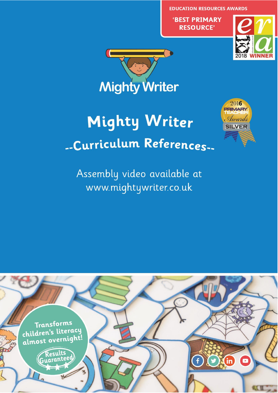**EDUCATION RESOURCES AWARDS** 

'BEST PRIMARY **RESOURCE'** 





# **Mighty Writer** -Curriculum References-



Assembly video available at www.mightywriter.co.uk

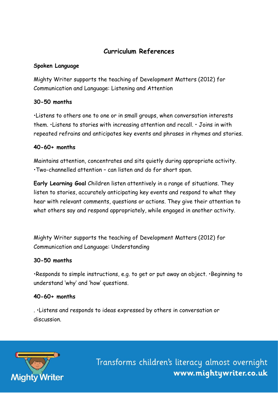# **Curriculum References**

#### **Spoken Language**

Mighty Writer supports the teaching of Development Matters (2012) for Communication and Language: Listening and Attention

# **30-50 months**

•Listens to others one to one or in small groups, when conversation interests them. •Listens to stories with increasing attention and recall. • Joins in with repeated refrains and anticipates key events and phrases in rhymes and stories.

# **40-60+ months**

Maintains attention, concentrates and sits quietly during appropriate activity. •Two-channelled attention – can listen and do for short span.

**Early Learning Goal** Children listen attentively in a range of situations. They listen to stories, accurately anticipating key events and respond to what they hear with relevant comments, questions or actions. They give their attention to what others say and respond appropriately, while engaged in another activity.

Mighty Writer supports the teaching of Development Matters (2012) for Communication and Language: Understanding

#### **30-50 months**

•Responds to simple instructions, e.g. to get or put away an object. •Beginning to understand 'why' and 'how' questions.

#### **40-60+ months**

. •Listens and responds to ideas expressed by others in conversation or discussion.

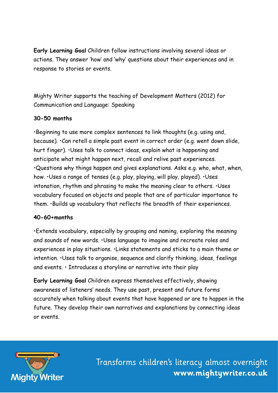**Early Learning Goal** Children follow instructions involving several ideas or actions. They answer 'how' and 'why' questions about their experiences and in response to stories or events.

Mighty Writer supports the teaching of Development Matters (2012) for Communication and Language: Speaking

#### **30-50 months**

•Beginning to use more complex sentences to link thoughts (e.g. using and, because). •Can retell a simple past event in correct order (e.g. went down slide, hurt finger). •Uses talk to connect ideas, explain what is happening and anticipate what might happen next, recall and relive past experiences. •Questions why things happen and gives explanations. Asks e.g. who, what, when, how. •Uses a range of tenses (e.g. play, playing, will play, played). •Uses intonation, rhythm and phrasing to make the meaning clear to others. •Uses vocabulary focused on objects and people that are of particular importance to them. •Builds up vocabulary that reflects the breadth of their experiences.

#### **40-60+months**

•Extends vocabulary, especially by grouping and naming, exploring the meaning and sounds of new words. •Uses language to imagine and recreate roles and experiences in play situations. •Links statements and sticks to a main theme or intention. •Uses talk to organise, sequence and clarify thinking, ideas, feelings and events. • Introduces a storyline or narrative into their play

**Early Learning Goal** Children express themselves effectively, showing awareness of listeners' needs. They use past, present and future forms accurately when talking about events that have happened or are to happen in the future. They develop their own narratives and explanations by connecting ideas or events.

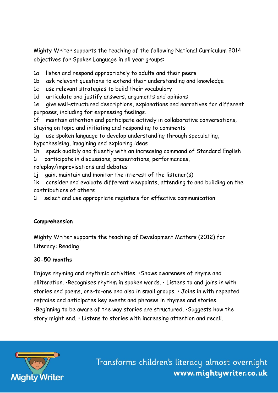Mighty Writer supports the teaching of the following National Curriculum 2014 objectives for Spoken Language in all year groups:

1a listen and respond appropriately to adults and their peers

1b ask relevant questions to extend their understanding and knowledge

1c use relevant strategies to build their vocabulary

1d articulate and justify answers, arguments and opinions

1e give well-structured descriptions, explanations and narratives for different purposes, including for expressing feelings.

1f maintain attention and participate actively in collaborative conversations, staying on topic and initiating and responding to comments

1g use spoken language to develop understanding through speculating, hypothesising, imagining and exploring ideas

1h speak audibly and fluently with an increasing command of Standard English

1i participate in discussions, presentations, performances,

roleplay/improvisations and debates

1j gain, maintain and monitor the interest of the listener(s)

1k consider and evaluate different viewpoints, attending to and building on the contributions of others

1l select and use appropriate registers for effective communication

#### **Comprehension**

Mighty Writer supports the teaching of Development Matters (2012) for Literacy: Reading

#### **30-50 months**

Enjoys rhyming and rhythmic activities. •Shows awareness of rhyme and alliteration. •Recognises rhythm in spoken words. • Listens to and joins in with stories and poems, one-to-one and also in small groups. • Joins in with repeated refrains and anticipates key events and phrases in rhymes and stories. •Beginning to be aware of the way stories are structured. •Suggests how the story might end. • Listens to stories with increasing attention and recall.

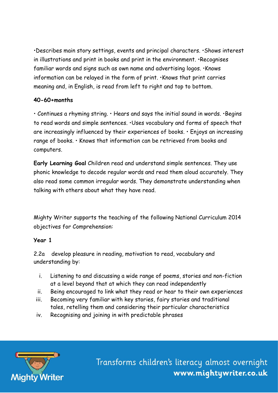•Describes main story settings, events and principal characters. •Shows interest in illustrations and print in books and print in the environment. •Recognises familiar words and signs such as own name and advertising logos. •Knows information can be relayed in the form of print. •Knows that print carries meaning and, in English, is read from left to right and top to bottom.

# **40-60+months**

• Continues a rhyming string. • Hears and says the initial sound in words. •Begins to read words and simple sentences. •Uses vocabulary and forms of speech that are increasingly influenced by their experiences of books. • Enjoys an increasing range of books. • Knows that information can be retrieved from books and computers.

**Early Learning Goal** Children read and understand simple sentences. They use phonic knowledge to decode regular words and read them aloud accurately. They also read some common irregular words. They demonstrate understanding when talking with others about what they have read.

Mighty Writer supports the teaching of the following National Curriculum 2014 objectives for Comprehension:

#### **Year 1**

2.2a develop pleasure in reading, motivation to read, vocabulary and understanding by:

- i. Listening to and discussing a wide range of poems, stories and non-fiction at a level beyond that at which they can read independently
- ii. Being encouraged to link what they read or hear to their own experiences
- iii. Becoming very familiar with key stories, fairy stories and traditional tales, retelling them and considering their particular characteristics
- iv. Recognising and joining in with predictable phrases

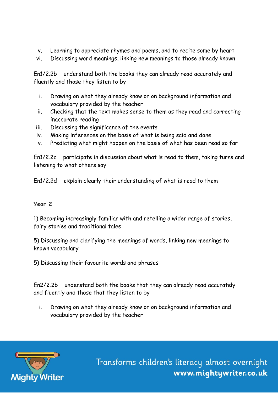- v. Learning to appreciate rhymes and poems, and to recite some by heart
- vi. Discussing word meanings, linking new meanings to those already known

En1/2.2b understand both the books they can already read accurately and fluently and those they listen to by

- i. Drawing on what they already know or on background information and vocabulary provided by the teacher
- ii. Checking that the text makes sense to them as they read and correcting inaccurate reading
- iii. Discussing the significance of the events
- iv. Making inferences on the basis of what is being said and done
- v. Predicting what might happen on the basis of what has been read so far

En1/2.2c participate in discussion about what is read to them, taking turns and listening to what others say

En1/2.2d explain clearly their understanding of what is read to them

#### **Year 2**

1) Becoming increasingly familiar with and retelling a wider range of stories, fairy stories and traditional tales

5) Discussing and clarifying the meanings of words, linking new meanings to known vocabulary

5) Discussing their favourite words and phrases

En2/2.2b understand both the books that they can already read accurately and fluently and those that they listen to by

i. Drawing on what they already know or on background information and vocabulary provided by the teacher

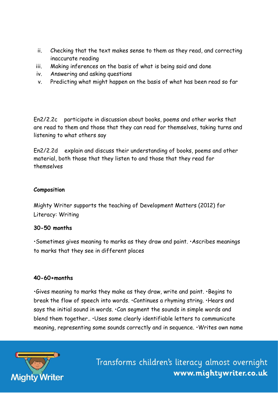- ii. Checking that the text makes sense to them as they read, and correcting inaccurate reading
- iii. Making inferences on the basis of what is being said and done
- iv. Answering and asking questions
- v. Predicting what might happen on the basis of what has been read so far

En2/2.2c participate in discussion about books, poems and other works that are read to them and those that they can read for themselves, taking turns and listening to what others say

En2/2.2d explain and discuss their understanding of books, poems and other material, both those that they listen to and those that they read for themselves

#### **Composition**

Mighty Writer supports the teaching of Development Matters (2012) for Literacy: Writing

#### **30-50 months**

•Sometimes gives meaning to marks as they draw and paint. •Ascribes meanings to marks that they see in different places

#### **40-60+months**

•Gives meaning to marks they make as they draw, write and paint. •Begins to break the flow of speech into words. •Continues a rhyming string. •Hears and says the initial sound in words. •Can segment the sounds in simple words and blend them together.. •Uses some clearly identifiable letters to communicate meaning, representing some sounds correctly and in sequence. •Writes own name

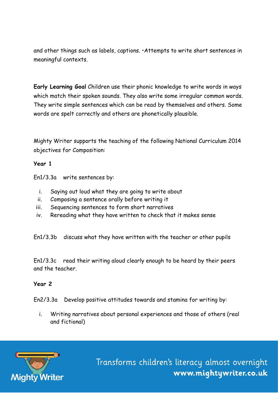and other things such as labels, captions. •Attempts to write short sentences in meaningful contexts.

**Early Learning Goal** Children use their phonic knowledge to write words in ways which match their spoken sounds. They also write some irregular common words. They write simple sentences which can be read by themselves and others. Some words are spelt correctly and others are phonetically plausible.

Mighty Writer supports the teaching of the following National Curriculum 2014 objectives for Composition:

#### **Year 1**

En1/3.3a write sentences by:

- i. Saying out loud what they are going to write about
- ii. Composing a sentence orally before writing it
- iii. Sequencing sentences to form short narratives
- iv. Rereading what they have written to check that it makes sense

En1/3.3b discuss what they have written with the teacher or other pupils

En1/3.3c read their writing aloud clearly enough to be heard by their peers and the teacher.

#### **Year 2**

En2/3.3a Develop positive attitudes towards and stamina for writing by:

i. Writing narratives about personal experiences and those of others (real and fictional)

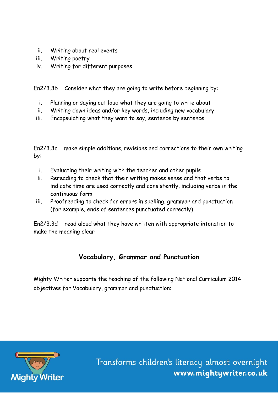- ii. Writing about real events
- iii. Writing poetry
- iv. Writing for different purposes

En2/3.3b Consider what they are going to write before beginning by:

- i. Planning or saying out loud what they are going to write about
- ii. Writing down ideas and/or key words, including new vocabulary
- iii. Encapsulating what they want to say, sentence by sentence

En2/3.3c make simple additions, revisions and corrections to their own writing by:

- i. Evaluating their writing with the teacher and other pupils
- ii. Rereading to check that their writing makes sense and that verbs to indicate time are used correctly and consistently, including verbs in the continuous form
- iii. Proofreading to check for errors in spelling, grammar and punctuation (for example, ends of sentences punctuated correctly)

En2/3.3d read aloud what they have written with appropriate intonation to make the meaning clear

# **Vocabulary, Grammar and Punctuation**

Mighty Writer supports the teaching of the following National Curriculum 2014 objectives for Vocabulary, grammar and punctuation:

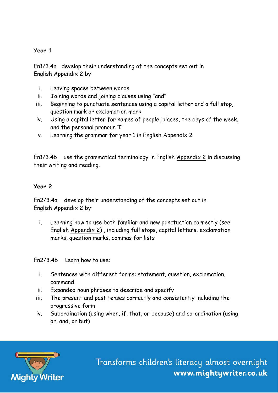# **Year 1**

En1/3.4a develop their understanding of the concepts set out in English [Appendix 2](http://www.primarycurriculum.me.uk/Appendix2.pdf?attredirects=0&d=1) by:

- i. Leaving spaces between words
- ii. Joining words and joining clauses using "and"
- iii. Beginning to punctuate sentences using a capital letter and a full stop, question mark or exclamation mark
- iv. Using a capital letter for names of people, places, the days of the week, and the personal pronoun 'I'
- v. Learning the grammar for year 1 in English [Appendix 2](http://www.primarycurriculum.me.uk/Appendix2.pdf?attredirects=0&d=1)

En1/3.4b use the grammatical terminology in English [Appendix 2](http://www.primarycurriculum.me.uk/Appendix2.pdf?attredirects=0&d=1) in discussing their writing and reading.

#### **Year 2**

En2/3.4a develop their understanding of the concepts set out in English [Appendix 2](http://www.primarycurriculum.me.uk/Appendix2.pdf?attredirects=0&d=1) by:

i. Learning how to use both familiar and new punctuation correctly (see English [Appendix 2\)](http://www.primarycurriculum.me.uk/Appendix2.pdf?attredirects=0&d=1) , including full stops, capital letters, exclamation marks, question marks, commas for lists

En2/3.4b Learn how to use:

- i. Sentences with different forms: statement, question, exclamation, command
- ii. Expanded noun phrases to describe and specify
- iii. The present and past tenses correctly and consistently including the progressive form
- iv. Subordination (using when, if, that, or because) and co-ordination (using or, and, or but)